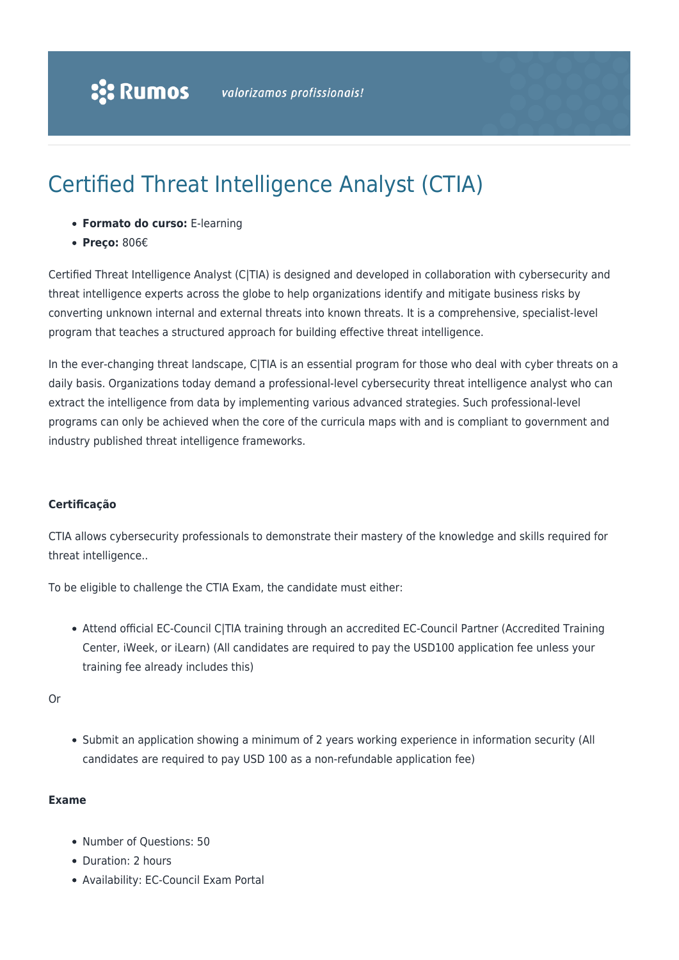# Certified Threat Intelligence Analyst (CTIA)

- **Formato do curso:** E-learning
- **Preço:** 806€

Certified Threat Intelligence Analyst (C|TIA) is designed and developed in collaboration with cybersecurity and threat intelligence experts across the globe to help organizations identify and mitigate business risks by converting unknown internal and external threats into known threats. It is a comprehensive, specialist-level program that teaches a structured approach for building effective threat intelligence.

In the ever-changing threat landscape, C|TIA is an essential program for those who deal with cyber threats on a daily basis. Organizations today demand a professional-level cybersecurity threat intelligence analyst who can extract the intelligence from data by implementing various advanced strategies. Such professional-level programs can only be achieved when the core of the curricula maps with and is compliant to government and industry published threat intelligence frameworks.

#### **Certificação**

CTIA allows cybersecurity professionals to demonstrate their mastery of the knowledge and skills required for threat intelligence..

To be eligible to challenge the CTIA Exam, the candidate must either:

Attend official EC-Council C|TIA training through an accredited EC-Council Partner (Accredited Training Center, iWeek, or iLearn) (All candidates are required to pay the USD100 application fee unless your training fee already includes this)

Or

• Submit an application showing a minimum of 2 years working experience in information security (All candidates are required to pay USD 100 as a non-refundable application fee)

#### **Exame**

- Number of Ouestions: 50
- Duration: 2 hours
- Availability: EC-Council Exam Portal